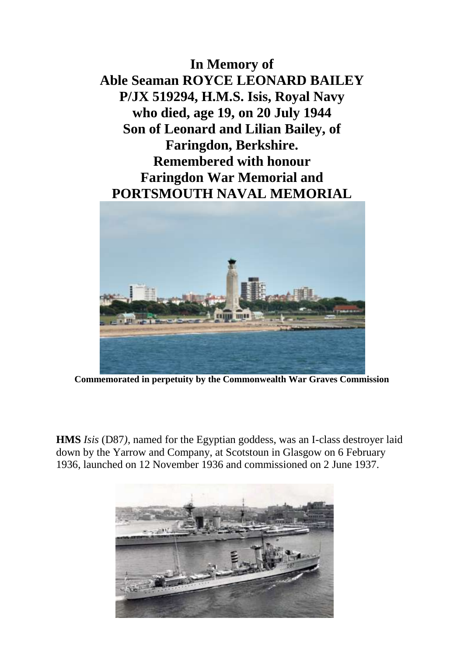**In Memory of Able Seaman ROYCE LEONARD BAILEY P/JX 519294, H.M.S. Isis, Royal Navy who died, age 19, on 20 July 1944 Son of Leonard and Lilian Bailey, of Faringdon, Berkshire. Remembered with honour Faringdon War Memorial and PORTSMOUTH NAVAL MEMORIAL**



**Commemorated in perpetuity by the Commonwealth War Graves Commission**

**HMS** *Isis* (D87*)*, named for the Egyptian goddess, was an I-class destroyer laid down by the Yarrow and Company, at Scotstoun in Glasgow on 6 February 1936, launched on 12 November 1936 and commissioned on 2 June 1937.